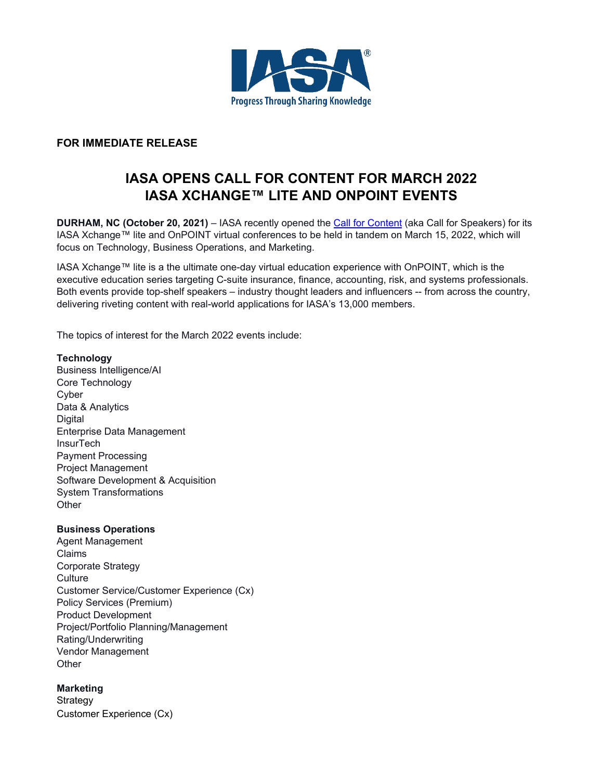

# **FOR IMMEDIATE RELEASE**

# **IASA OPENS CALL FOR CONTENT FOR MARCH 2022 IASA XCHANGE™ LITE AND ONPOINT EVENTS**

**DURHAM, NC (October 20, 2021)** – IASA recently opened the [Call for Content](https://www.iasa.org/call-for-content-landing/?preview_id=2385&preview_nonce=b2d8a55f88&_thumbnail_id=2729&preview=true) (aka Call for Speakers) for its IASA Xchange™ lite and OnPOINT virtual conferences to be held in tandem on March 15, 2022, which will focus on Technology, Business Operations, and Marketing.

IASA Xchange™ lite is a the ultimate one-day virtual education experience with OnPOINT, which is the executive education series targeting C-suite insurance, finance, accounting, risk, and systems professionals. Both events provide top-shelf speakers – industry thought leaders and influencers -- from across the country, delivering riveting content with real-world applications for IASA's 13,000 members.

The topics of interest for the March 2022 events include:

#### **Technology**

Business Intelligence/AI Core Technology Cyber Data & Analytics **Digital** Enterprise Data Management **InsurTech** Payment Processing Project Management Software Development & Acquisition System Transformations **Other** 

#### **Business Operations**

Agent Management Claims Corporate Strategy **Culture** Customer Service/Customer Experience (Cx) Policy Services (Premium) Product Development Project/Portfolio Planning/Management Rating/Underwriting Vendor Management **Other** 

## **Marketing**

Strategy Customer Experience (Cx)